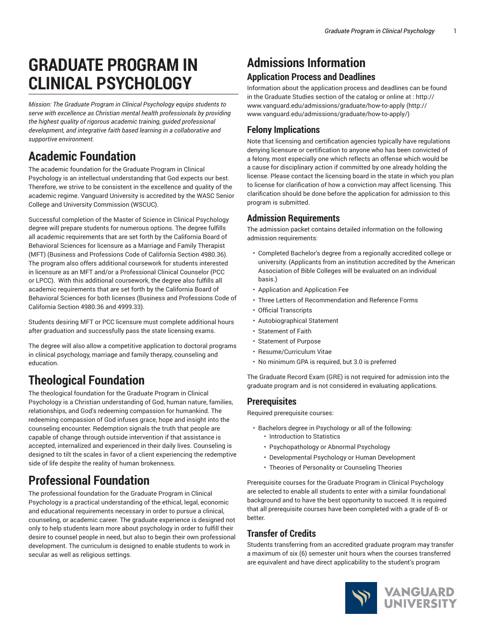# **GRADUATE PROGRAM IN CLINICAL PSYCHOLOGY**

*Mission: The Graduate Program in Clinical Psychology equips students to serve with excellence as Christian mental health professionals by providing the highest quality of rigorous academic training, guided professional development, and integrative faith based learning in a collaborative and supportive environment.*

## **Academic Foundation**

The academic foundation for the Graduate Program in Clinical Psychology is an intellectual understanding that God expects our best. Therefore, we strive to be consistent in the excellence and quality of the academic regime. Vanguard University is accredited by the WASC Senior College and University Commission (WSCUC).

Successful completion of the Master of Science in Clinical Psychology degree will prepare students for numerous options. The degree fulfills all academic requirements that are set forth by the California Board of Behavioral Sciences for licensure as a Marriage and Family Therapist (MFT) (Business and Professions Code of California Section 4980.36). The program also offers additional coursework for students interested in licensure as an MFT and/or a Professional Clinical Counselor (PCC or LPCC). With this additional coursework, the degree also fulfills all academic requirements that are set forth by the California Board of Behavioral Sciences for both licenses (Business and Professions Code of California Section 4980.36 and 4999.33).

Students desiring MFT or PCC licensure must complete additional hours after graduation and successfully pass the state licensing exams.

The degree will also allow a competitive application to doctoral programs in clinical psychology, marriage and family therapy, counseling and education.

## **Theological Foundation**

The theological foundation for the Graduate Program in Clinical Psychology is a Christian understanding of God, human nature, families, relationships, and God's redeeming compassion for humankind. The redeeming compassion of God infuses grace, hope and insight into the counseling encounter. Redemption signals the truth that people are capable of change through outside intervention if that assistance is accepted, internalized and experienced in their daily lives. Counseling is designed to tilt the scales in favor of a client experiencing the redemptive side of life despite the reality of human brokenness.

## **Professional Foundation**

The professional foundation for the Graduate Program in Clinical Psychology is a practical understanding of the ethical, legal, economic and educational requirements necessary in order to pursue a clinical, counseling, or academic career. The graduate experience is designed not only to help students learn more about psychology in order to fulfill their desire to counsel people in need, but also to begin their own professional development. The curriculum is designed to enable students to work in secular as well as religious settings.

## **Admissions Information**

## **Application Process and Deadlines**

Information about the application process and deadlines can be found in the Graduate Studies section of the catalog or online at : [http://](http://www.vanguard.edu/admissions/graduate/how-to-apply/) [www.vanguard.edu/admissions/graduate/how-to-apply](http://www.vanguard.edu/admissions/graduate/how-to-apply/) ([http://](http://www.vanguard.edu/admissions/graduate/how-to-apply/) [www.vanguard.edu/admissions/graduate/how-to-apply/\)](http://www.vanguard.edu/admissions/graduate/how-to-apply/)

### **Felony Implications**

Note that licensing and certification agencies typically have regulations denying licensure or certification to anyone who has been convicted of a felony, most especially one which reflects an offense which would be a cause for disciplinary action if committed by one already holding the license. Please contact the licensing board in the state in which you plan to license for clarification of how a conviction may affect licensing. This clarification should be done before the application for admission to this program is submitted.

### **Admission Requirements**

The admission packet contains detailed information on the following admission requirements:

- Completed Bachelor's degree from a regionally accredited college or university. (Applicants from an institution accredited by the American Association of Bible Colleges will be evaluated on an individual basis.)
- Application and Application Fee
- Three Letters of Recommendation and Reference Forms
- Official Transcripts
- Autobiographical Statement
- Statement of Faith
- Statement of Purpose
- Resume/Curriculum Vitae
- No minimum GPA is required, but 3.0 is preferred

The Graduate Record Exam (GRE) is not required for admission into the graduate program and is not considered in evaluating applications.

### **Prerequisites**

Required prerequisite courses:

- Bachelors degree in Psychology or all of the following:
	- Introduction to Statistics
	- Psychopathology or Abnormal Psychology
	- Developmental Psychology or Human Development
	- Theories of Personality or Counseling Theories

Prerequisite courses for the Graduate Program in Clinical Psychology are selected to enable all students to enter with a similar foundational background and to have the best opportunity to succeed. It is required that all prerequisite courses have been completed with a grade of B- or better.

### **Transfer of Credits**

Students transferring from an accredited graduate program may transfer a maximum of six (6) semester unit hours when the courses transferred are equivalent and have direct applicability to the student's program

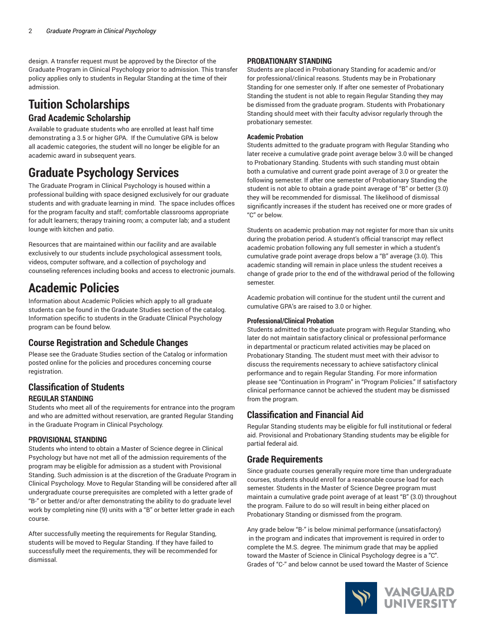design. A transfer request must be approved by the Director of the Graduate Program in Clinical Psychology prior to admission. This transfer policy applies only to students in Regular Standing at the time of their admission.

## **Tuition Scholarships Grad Academic Scholarship**

# Available to graduate students who are enrolled at least half time

demonstrating a 3.5 or higher GPA. If the Cumulative GPA is below all academic categories, the student will no longer be eligible for an academic award in subsequent years.

## **Graduate Psychology Services**

The Graduate Program in Clinical Psychology is housed within a professional building with space designed exclusively for our graduate students and with graduate learning in mind. The space includes offices for the program faculty and staff; comfortable classrooms appropriate for adult learners; therapy training room; a computer lab; and a student lounge with kitchen and patio.

Resources that are maintained within our facility and are available exclusively to our students include psychological assessment tools, videos, computer software, and a collection of psychology and counseling references including books and access to electronic journals.

## **Academic Policies**

Information about Academic Policies which apply to all graduate students can be found in the Graduate Studies section of the catalog. Information specific to students in the Graduate Clinical Psychology program can be found below.

## **Course Registration and Schedule Changes**

Please see the Graduate Studies section of the Catalog or information posted online for the policies and procedures concerning course registration.

## **Classification of Students REGULAR STANDING**

Students who meet all of the requirements for entrance into the program and who are admitted without reservation, are granted Regular Standing in the Graduate Program in Clinical Psychology.

### **PROVISIONAL STANDING**

Students who intend to obtain a Master of Science degree in Clinical Psychology but have not met all of the admission requirements of the program may be eligible for admission as a student with Provisional Standing. Such admission is at the discretion of the Graduate Program in Clinical Psychology. Move to Regular Standing will be considered after all undergraduate course prerequisites are completed with a letter grade of "B-" or better and/or after demonstrating the ability to do graduate level work by completing nine (9) units with a "B" or better letter grade in each course.

After successfully meeting the requirements for Regular Standing, students will be moved to Regular Standing. If they have failed to successfully meet the requirements, they will be recommended for dismissal.

### **PROBATIONARY STANDING**

Students are placed in Probationary Standing for academic and/or for professional/clinical reasons. Students may be in Probationary Standing for one semester only. If after one semester of Probationary Standing the student is not able to regain Regular Standing they may be dismissed from the graduate program. Students with Probationary Standing should meet with their faculty advisor regularly through the probationary semester.

#### **Academic Probation**

Students admitted to the graduate program with Regular Standing who later receive a cumulative grade point average below 3.0 will be changed to Probationary Standing. Students with such standing must obtain both a cumulative and current grade point average of 3.0 or greater the following semester. If after one semester of Probationary Standing the student is not able to obtain a grade point average of "B" or better (3.0) they will be recommended for dismissal. The likelihood of dismissal significantly increases if the student has received one or more grades of "C" or below.

Students on academic probation may not register for more than six units during the probation period. A student's official transcript may reflect academic probation following any full semester in which a student's cumulative grade point average drops below a "B" average (3.0). This academic standing will remain in place unless the student receives a change of grade prior to the end of the withdrawal period of the following semester.

Academic probation will continue for the student until the current and cumulative GPA's are raised to 3.0 or higher.

#### **Professional/Clinical Probation**

Students admitted to the graduate program with Regular Standing, who later do not maintain satisfactory clinical or professional performance in departmental or practicum related activities may be placed on Probationary Standing. The student must meet with their advisor to discuss the requirements necessary to achieve satisfactory clinical performance and to regain Regular Standing. For more information please see "Continuation in Program" in "Program Policies." If satisfactory clinical performance cannot be achieved the student may be dismissed from the program.

## **Classification and Financial Aid**

Regular Standing students may be eligible for full institutional or federal aid. Provisional and Probationary Standing students may be eligible for partial federal aid.

### **Grade Requirements**

Since graduate courses generally require more time than undergraduate courses, students should enroll for a reasonable course load for each semester. Students in the Master of Science Degree program must maintain a cumulative grade point average of at least "B" (3.0) throughout the program. Failure to do so will result in being either placed on Probationary Standing or dismissed from the program.

Any grade below "B-" is below minimal performance (unsatisfactory) in the program and indicates that improvement is required in order to complete the M.S. degree. The minimum grade that may be applied toward the Master of Science in Clinical Psychology degree is a "C". Grades of "C-" and below cannot be used toward the Master of Science

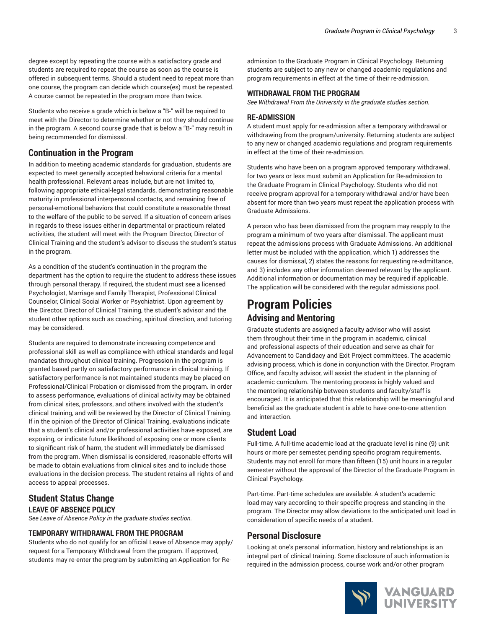degree except by repeating the course with a satisfactory grade and students are required to repeat the course as soon as the course is offered in subsequent terms. Should a student need to repeat more than one course, the program can decide which course(es) must be repeated. A course cannot be repeated in the program more than twice.

Students who receive a grade which is below a "B-" will be required to meet with the Director to determine whether or not they should continue in the program. A second course grade that is below a "B-" may result in being recommended for dismissal.

### **Continuation in the Program**

In addition to meeting academic standards for graduation, students are expected to meet generally accepted behavioral criteria for a mental health professional. Relevant areas include, but are not limited to, following appropriate ethical-legal standards, demonstrating reasonable maturity in professional interpersonal contacts, and remaining free of personal-emotional behaviors that could constitute a reasonable threat to the welfare of the public to be served. If a situation of concern arises in regards to these issues either in departmental or practicum related activities, the student will meet with the Program Director, Director of Clinical Training and the student's advisor to discuss the student's status in the program.

As a condition of the student's continuation in the program the department has the option to require the student to address these issues through personal therapy. If required, the student must see a licensed Psychologist, Marriage and Family Therapist, Professional Clinical Counselor, Clinical Social Worker or Psychiatrist. Upon agreement by the Director, Director of Clinical Training, the student's advisor and the student other options such as coaching, spiritual direction, and tutoring may be considered.

Students are required to demonstrate increasing competence and professional skill as well as compliance with ethical standards and legal mandates throughout clinical training. Progression in the program is granted based partly on satisfactory performance in clinical training. If satisfactory performance is not maintained students may be placed on Professional/Clinical Probation or dismissed from the program. In order to assess performance, evaluations of clinical activity may be obtained from clinical sites, professors, and others involved with the student's clinical training, and will be reviewed by the Director of Clinical Training. If in the opinion of the Director of Clinical Training, evaluations indicate that a student's clinical and/or professional activities have exposed, are exposing, or indicate future likelihood of exposing one or more clients to significant risk of harm, the student will immediately be dismissed from the program. When dismissal is considered, reasonable efforts will be made to obtain evaluations from clinical sites and to include those evaluations in the decision process. The student retains all rights of and access to appeal processes.

#### **Student Status Change LEAVE OF ABSENCE POLICY**

*See Leave of Absence Policy in the graduate studies section.*

#### **TEMPORARY WITHDRAWAL FROM THE PROGRAM**

Students who do not qualify for an official Leave of Absence may apply/ request for a Temporary Withdrawal from the program. If approved, students may re-enter the program by submitting an Application for Re-

admission to the Graduate Program in Clinical Psychology. Returning students are subject to any new or changed academic regulations and program requirements in effect at the time of their re-admission.

#### **WITHDRAWAL FROM THE PROGRAM**

*See Withdrawal From the University in the graduate studies section.*

#### **RE-ADMISSION**

A student must apply for re-admission after a temporary withdrawal or withdrawing from the program/university. Returning students are subject to any new or changed academic regulations and program requirements in effect at the time of their re-admission.

Students who have been on a program approved temporary withdrawal, for two years or less must submit an Application for Re-admission to the Graduate Program in Clinical Psychology. Students who did not receive program approval for a temporary withdrawal and/or have been absent for more than two years must repeat the application process with Graduate Admissions.

A person who has been dismissed from the program may reapply to the program a minimum of two years after dismissal. The applicant must repeat the admissions process with Graduate Admissions. An additional letter must be included with the application, which 1) addresses the causes for dismissal, 2) states the reasons for requesting re-admittance, and 3) includes any other information deemed relevant by the applicant. Additional information or documentation may be required if applicable. The application will be considered with the regular admissions pool.

## **Program Policies Advising and Mentoring**

Graduate students are assigned a faculty advisor who will assist them throughout their time in the program in academic, clinical and professional aspects of their education and serve as chair for Advancement to Candidacy and Exit Project committees. The academic advising process, which is done in conjunction with the Director, Program Office, and faculty advisor, will assist the student in the planning of academic curriculum. The mentoring process is highly valued and the mentoring relationship between students and faculty/staff is encouraged. It is anticipated that this relationship will be meaningful and beneficial as the graduate student is able to have one-to-one attention and interaction.

#### **Student Load**

Full-time. A full-time academic load at the graduate level is nine (9) unit hours or more per semester, pending specific program requirements. Students may not enroll for more than fifteen (15) unit hours in a regular semester without the approval of the Director of the Graduate Program in Clinical Psychology.

Part-time. Part-time schedules are available. A student's academic load may vary according to their specific progress and standing in the program. The Director may allow deviations to the anticipated unit load in consideration of specific needs of a student.

#### **Personal Disclosure**

Looking at one's personal information, history and relationships is an integral part of clinical training. Some disclosure of such information is required in the admission process, course work and/or other program

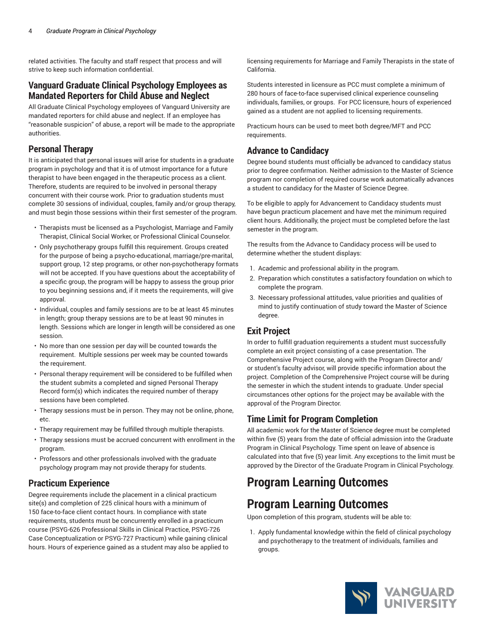related activities. The faculty and staff respect that process and will strive to keep such information confidential.

### **Vanguard Graduate Clinical Psychology Employees as Mandated Reporters for Child Abuse and Neglect**

All Graduate Clinical Psychology employees of Vanguard University are mandated reporters for child abuse and neglect. If an employee has "reasonable suspicion" of abuse, a report will be made to the appropriate authorities.

## **Personal Therapy**

It is anticipated that personal issues will arise for students in a graduate program in psychology and that it is of utmost importance for a future therapist to have been engaged in the therapeutic process as a client. Therefore, students are required to be involved in personal therapy concurrent with their course work. Prior to graduation students must complete 30 sessions of individual, couples, family and/or group therapy, and must begin those sessions within their first semester of the program.

- Therapists must be licensed as a Psychologist, Marriage and Family Therapist, Clinical Social Worker, or Professional Clinical Counselor.
- Only psychotherapy groups fulfill this requirement. Groups created for the purpose of being a psycho-educational, marriage/pre-marital, support group, 12 step programs, or other non-psychotherapy formats will not be accepted. If you have questions about the acceptability of a specific group, the program will be happy to assess the group prior to you beginning sessions and, if it meets the requirements, will give approval.
- Individual, couples and family sessions are to be at least 45 minutes in length; group therapy sessions are to be at least 90 minutes in length. Sessions which are longer in length will be considered as one session.
- No more than one session per day will be counted towards the requirement. Multiple sessions per week may be counted towards the requirement.
- Personal therapy requirement will be considered to be fulfilled when the student submits a completed and signed Personal Therapy Record form(s) which indicates the required number of therapy sessions have been completed.
- Therapy sessions must be in person. They may not be online, phone, etc.
- Therapy requirement may be fulfilled through multiple therapists.
- Therapy sessions must be accrued concurrent with enrollment in the program.
- Professors and other professionals involved with the graduate psychology program may not provide therapy for students.

## **Practicum Experience**

Degree requirements include the placement in a clinical practicum site(s) and completion of 225 clinical hours with a minimum of 150 face-to-face client contact hours. In compliance with state requirements, students must be concurrently enrolled in a practicum course (PSYG-626 Professional Skills in Clinical Practice, PSYG-726 Case Conceptualization or PSYG-727 Practicum) while gaining clinical hours. Hours of experience gained as a student may also be applied to licensing requirements for Marriage and Family Therapists in the state of California.

Students interested in licensure as PCC must complete a minimum of 280 hours of face-to-face supervised clinical experience counseling individuals, families, or groups. For PCC licensure, hours of experienced gained as a student are not applied to licensing requirements.

Practicum hours can be used to meet both degree/MFT and PCC requirements.

## **Advance to Candidacy**

Degree bound students must officially be advanced to candidacy status prior to degree confirmation. Neither admission to the Master of Science program nor completion of required course work automatically advances a student to candidacy for the Master of Science Degree.

To be eligible to apply for Advancement to Candidacy students must have begun practicum placement and have met the minimum required client hours. Additionally, the project must be completed before the last semester in the program.

The results from the Advance to Candidacy process will be used to determine whether the student displays:

- 1. Academic and professional ability in the program.
- 2. Preparation which constitutes a satisfactory foundation on which to complete the program.
- 3. Necessary professional attitudes, value priorities and qualities of mind to justify continuation of study toward the Master of Science degree.

## **Exit Project**

In order to fulfill graduation requirements a student must successfully complete an exit project consisting of a case presentation. The Comprehensive Project course, along with the Program Director and/ or student's faculty advisor, will provide specific information about the project. Completion of the Comprehensive Project course will be during the semester in which the student intends to graduate. Under special circumstances other options for the project may be available with the approval of the Program Director.

## **Time Limit for Program Completion**

All academic work for the Master of Science degree must be completed within five (5) years from the date of official admission into the Graduate Program in Clinical Psychology. Time spent on leave of absence is calculated into that five (5) year limit. Any exceptions to the limit must be approved by the Director of the Graduate Program in Clinical Psychology.

## **Program Learning Outcomes**

## **Program Learning Outcomes**

Upon completion of this program, students will be able to:

1. Apply fundamental knowledge within the field of clinical psychology and psychotherapy to the treatment of individuals, families and groups.

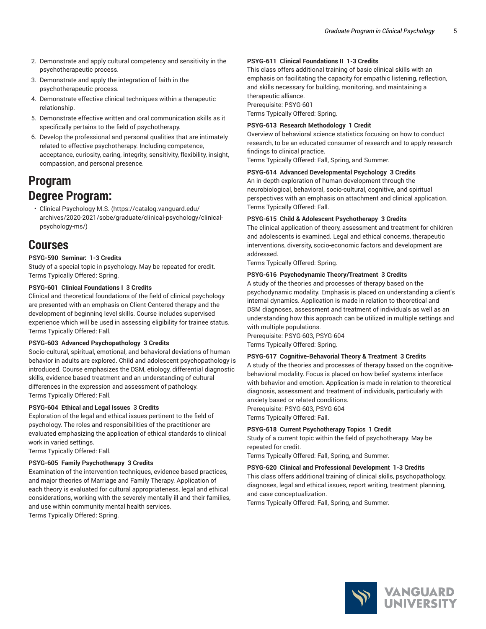- 2. Demonstrate and apply cultural competency and sensitivity in the psychotherapeutic process.
- 3. Demonstrate and apply the integration of faith in the psychotherapeutic process.
- 4. Demonstrate effective clinical techniques within a therapeutic relationship.
- 5. Demonstrate effective written and oral communication skills as it specifically pertains to the field of psychotherapy.
- 6. Develop the professional and personal qualities that are intimately related to effective psychotherapy. Including competence, acceptance, curiosity, caring, integrity, sensitivity, flexibility, insight, compassion, and personal presence.

## **Program Degree Program:**

• Clinical [Psychology](https://catalog.vanguard.edu/archives/2020-2021/sobe/graduate/clinical-psychology/clinical-psychology-ms/) M.S. ([https://catalog.vanguard.edu/](https://catalog.vanguard.edu/archives/2020-2021/sobe/graduate/clinical-psychology/clinical-psychology-ms/) [archives/2020-2021/sobe/graduate/clinical-psychology/clinical](https://catalog.vanguard.edu/archives/2020-2021/sobe/graduate/clinical-psychology/clinical-psychology-ms/)[psychology-ms/\)](https://catalog.vanguard.edu/archives/2020-2021/sobe/graduate/clinical-psychology/clinical-psychology-ms/)

## **Courses**

#### **PSYG-590 Seminar: 1-3 Credits**

Study of a special topic in psychology. May be repeated for credit. Terms Typically Offered: Spring.

#### **PSYG-601 Clinical Foundations I 3 Credits**

Clinical and theoretical foundations of the field of clinical psychology are presented with an emphasis on Client-Centered therapy and the development of beginning level skills. Course includes supervised experience which will be used in assessing eligibility for trainee status. Terms Typically Offered: Fall.

#### **PSYG-603 Advanced Psychopathology 3 Credits**

Socio-cultural, spiritual, emotional, and behavioral deviations of human behavior in adults are explored. Child and adolescent psychopathology is introduced. Course emphasizes the DSM, etiology, differential diagnostic skills, evidence based treatment and an understanding of cultural differences in the expression and assessment of pathology. Terms Typically Offered: Fall.

#### **PSYG-604 Ethical and Legal Issues 3 Credits**

Exploration of the legal and ethical issues pertinent to the field of psychology. The roles and responsibilities of the practitioner are evaluated emphasizing the application of ethical standards to clinical work in varied settings.

Terms Typically Offered: Fall.

#### **PSYG-605 Family Psychotherapy 3 Credits**

Examination of the intervention techniques, evidence based practices, and major theories of Marriage and Family Therapy. Application of each theory is evaluated for cultural appropriateness, legal and ethical considerations, working with the severely mentally ill and their families, and use within community mental health services. Terms Typically Offered: Spring.

#### **PSYG-611 Clinical Foundations II 1-3 Credits**

This class offers additional training of basic clinical skills with an emphasis on facilitating the capacity for empathic listening, reflection, and skills necessary for building, monitoring, and maintaining a therapeutic alliance.

Prerequisite: PSYG-601 Terms Typically Offered: Spring.

#### **PSYG-613 Research Methodology 1 Credit**

Overview of behavioral science statistics focusing on how to conduct research, to be an educated consumer of research and to apply research findings to clinical practice.

Terms Typically Offered: Fall, Spring, and Summer.

#### **PSYG-614 Advanced Developmental Psychology 3 Credits**

An in-depth exploration of human development through the neurobiological, behavioral, socio-cultural, cognitive, and spiritual perspectives with an emphasis on attachment and clinical application. Terms Typically Offered: Fall.

#### **PSYG-615 Child & Adolescent Psychotherapy 3 Credits**

The clinical application of theory, assessment and treatment for children and adolescents is examined. Legal and ethical concerns, therapeutic interventions, diversity, socio-economic factors and development are addressed.

Terms Typically Offered: Spring.

#### **PSYG-616 Psychodynamic Theory/Treatment 3 Credits**

A study of the theories and processes of therapy based on the psychodynamic modality. Emphasis is placed on understanding a client's internal dynamics. Application is made in relation to theoretical and DSM diagnoses, assessment and treatment of individuals as well as an understanding how this approach can be utilized in multiple settings and with multiple populations.

Prerequisite: PSYG-603, PSYG-604 Terms Typically Offered: Spring.

#### **PSYG-617 Cognitive-Behavorial Theory & Treatment 3 Credits**

A study of the theories and processes of therapy based on the cognitivebehavioral modality. Focus is placed on how belief systems interface with behavior and emotion. Application is made in relation to theoretical diagnosis, assessment and treatment of individuals, particularly with anxiety based or related conditions.

Prerequisite: PSYG-603, PSYG-604 Terms Typically Offered: Fall.

#### **PSYG-618 Current Psychotherapy Topics 1 Credit**

Study of a current topic within the field of psychotherapy. May be repeated for credit.

Terms Typically Offered: Fall, Spring, and Summer.

#### **PSYG-620 Clinical and Professional Development 1-3 Credits**

This class offers additional training of clinical skills, psychopathology, diagnoses, legal and ethical issues, report writing, treatment planning, and case conceptualization.

Terms Typically Offered: Fall, Spring, and Summer.

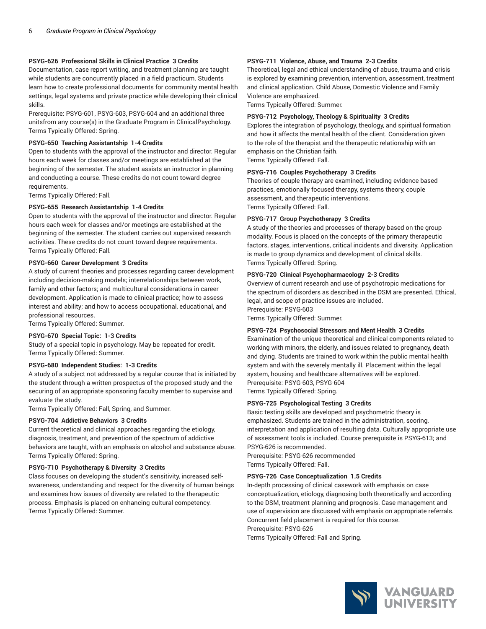#### **PSYG-626 Professional Skills in Clinical Practice 3 Credits**

Documentation, case report writing, and treatment planning are taught while students are concurrently placed in a field practicum. Students learn how to create professional documents for community mental health settings, legal systems and private practice while developing their clinical skills.

Prerequisite: PSYG-601, PSYG-603, PSYG-604 and an additional three unitsfrom any course(s) in the Graduate Program in ClinicalPsychology. Terms Typically Offered: Spring.

#### **PSYG-650 Teaching Assistantship 1-4 Credits**

Open to students with the approval of the instructor and director. Regular hours each week for classes and/or meetings are established at the beginning of the semester. The student assists an instructor in planning and conducting a course. These credits do not count toward degree requirements.

Terms Typically Offered: Fall.

#### **PSYG-655 Research Assistantship 1-4 Credits**

Open to students with the approval of the instructor and director. Regular hours each week for classes and/or meetings are established at the beginning of the semester. The student carries out supervised research activities. These credits do not count toward degree requirements. Terms Typically Offered: Fall.

#### **PSYG-660 Career Development 3 Credits**

A study of current theories and processes regarding career development including decision-making models; interrelationships between work, family and other factors; and multicultural considerations in career development. Application is made to clinical practice; how to assess interest and ability; and how to access occupational, educational, and professional resources.

Terms Typically Offered: Summer.

#### **PSYG-670 Special Topic: 1-3 Credits**

Study of a special topic in psychology. May be repeated for credit. Terms Typically Offered: Summer.

#### **PSYG-680 Independent Studies: 1-3 Credits**

A study of a subject not addressed by a regular course that is initiated by the student through a written prospectus of the proposed study and the securing of an appropriate sponsoring faculty member to supervise and evaluate the study.

Terms Typically Offered: Fall, Spring, and Summer.

#### **PSYG-704 Addictive Behaviors 3 Credits**

Current theoretical and clinical approaches regarding the etiology, diagnosis, treatment, and prevention of the spectrum of addictive behaviors are taught, with an emphasis on alcohol and substance abuse. Terms Typically Offered: Spring.

#### **PSYG-710 Psychotherapy & Diversity 3 Credits**

Class focuses on developing the student's sensitivity, increased selfawareness, understanding and respect for the diversity of human beings and examines how issues of diversity are related to the therapeutic process. Emphasis is placed on enhancing cultural competency. Terms Typically Offered: Summer.

#### **PSYG-711 Violence, Abuse, and Trauma 2-3 Credits**

Theoretical, legal and ethical understanding of abuse, trauma and crisis is explored by examining prevention, intervention, assessment, treatment and clinical application. Child Abuse, Domestic Violence and Family Violence are emphasized.

Terms Typically Offered: Summer.

#### **PSYG-712 Psychology, Theology & Spirituality 3 Credits**

Explores the integration of psychology, theology, and spiritual formation and how it affects the mental health of the client. Consideration given to the role of the therapist and the therapeutic relationship with an emphasis on the Christian faith.

Terms Typically Offered: Fall.

#### **PSYG-716 Couples Psychotherapy 3 Credits**

Theories of couple therapy are examined, including evidence based practices, emotionally focused therapy, systems theory, couple assessment, and therapeutic interventions. Terms Typically Offered: Fall.

#### **PSYG-717 Group Psychotherapy 3 Credits**

A study of the theories and processes of therapy based on the group modality. Focus is placed on the concepts of the primary therapeutic factors, stages, interventions, critical incidents and diversity. Application is made to group dynamics and development of clinical skills. Terms Typically Offered: Spring.

#### **PSYG-720 Clinical Psychopharmacology 2-3 Credits**

Overview of current research and use of psychotropic medications for the spectrum of disorders as described in the DSM are presented. Ethical, legal, and scope of practice issues are included. Prerequisite: PSYG-603 Terms Typically Offered: Summer.

#### **PSYG-724 Psychosocial Stressors and Ment Health 3 Credits**

Examination of the unique theoretical and clinical components related to working with minors, the elderly, and issues related to pregnancy, death and dying. Students are trained to work within the public mental health system and with the severely mentally ill. Placement within the legal system, housing and healthcare alternatives will be explored. Prerequisite: PSYG-603, PSYG-604 Terms Typically Offered: Spring.

#### **PSYG-725 Psychological Testing 3 Credits**

Basic testing skills are developed and psychometric theory is emphasized. Students are trained in the administration, scoring, interpretation and application of resulting data. Culturally appropriate use of assessment tools is included. Course prerequisite is PSYG-613; and PSYG-626 is recommended. Prerequisite: PSYG-626 recommended Terms Typically Offered: Fall.

#### **PSYG-726 Case Conceptualization 1.5 Credits**

In-depth processing of clinical casework with emphasis on case conceptualization, etiology, diagnosing both theoretically and according to the DSM, treatment planning and prognosis. Case management and use of supervision are discussed with emphasis on appropriate referrals. Concurrent field placement is required for this course.

Prerequisite: PSYG-626

Terms Typically Offered: Fall and Spring.